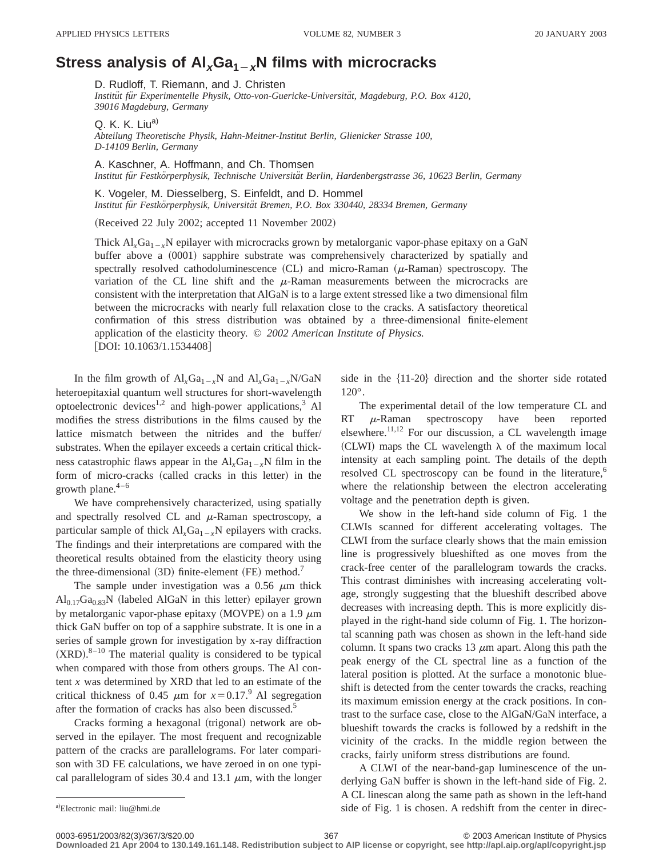## **Stress analysis of Al<sub>x</sub>Ga<sub>1</sub><sub>** $\rightarrow$ **x</sub>N films with microcracks</sub>**

D. Rudloff, T. Riemann, and J. Christen

*Institu¨t fu¨r Experimentelle Physik, Otto-von-Guericke-Universita¨t, Magdeburg, P.O. Box 4120, 39016 Magdeburg, Germany*

Q. K. K. Liu $a$ )

*Abteilung Theoretische Physik, Hahn-Meitner-Institut Berlin, Glienicker Strasse 100, D-14109 Berlin, Germany*

A. Kaschner, A. Hoffmann, and Ch. Thomsen *Institut fu¨r Festko¨rperphysik, Technische Universita¨t Berlin, Hardenbergstrasse 36, 10623 Berlin, Germany*

K. Vogeler, M. Diesselberg, S. Einfeldt, and D. Hommel *Institut fu¨r Festko¨rperphysik, Universita¨t Bremen, P.O. Box 330440, 28334 Bremen, Germany*

(Received 22 July 2002; accepted 11 November 2002)

Thick  $Al_xGa_{1-x}N$  epilayer with microcracks grown by metalorganic vapor-phase epitaxy on a GaN buffer above a (0001) sapphire substrate was comprehensively characterized by spatially and spectrally resolved cathodoluminescence  $(CL)$  and micro-Raman  $(\mu$ -Raman) spectroscopy. The variation of the CL line shift and the  $\mu$ -Raman measurements between the microcracks are consistent with the interpretation that AlGaN is to a large extent stressed like a two dimensional film between the microcracks with nearly full relaxation close to the cracks. A satisfactory theoretical confirmation of this stress distribution was obtained by a three-dimensional finite-element application of the elasticity theory. © *2002 American Institute of Physics.* [DOI: 10.1063/1.1534408]

In the film growth of  $Al_xGa_{1-x}N$  and  $Al_xGa_{1-x}N/GaN$ heteroepitaxial quantum well structures for short-wavelength optoelectronic devices<sup>1,2</sup> and high-power applications,<sup>3</sup> Al modifies the stress distributions in the films caused by the lattice mismatch between the nitrides and the buffer/ substrates. When the epilayer exceeds a certain critical thickness catastrophic flaws appear in the  $Al_xGa_{1-x}N$  film in the form of micro-cracks (called cracks in this letter) in the growth plane. $4-6$ 

We have comprehensively characterized, using spatially and spectrally resolved CL and  $\mu$ -Raman spectroscopy, a particular sample of thick  $AI_xGa_{1-x}N$  epilayers with cracks. The findings and their interpretations are compared with the theoretical results obtained from the elasticity theory using the three-dimensional  $(3D)$  finite-element  $(FE)$  method.<sup>7</sup>

The sample under investigation was a 0.56  $\mu$ m thick  $Al<sub>0.17</sub>Ga<sub>0.83</sub>N$  (labeled AlGaN in this letter) epilayer grown by metalorganic vapor-phase epitaxy (MOVPE) on a 1.9  $\mu$ m thick GaN buffer on top of a sapphire substrate. It is one in a series of sample grown for investigation by x-ray diffraction  $(XRD).<sup>8-10</sup>$  The material quality is considered to be typical when compared with those from others groups. The Al content *x* was determined by XRD that led to an estimate of the critical thickness of 0.45  $\mu$ m for  $x=0.17$ .<sup>9</sup> Al segregation after the formation of cracks has also been discussed.<sup>5</sup>

Cracks forming a hexagonal (trigonal) network are observed in the epilayer. The most frequent and recognizable pattern of the cracks are parallelograms. For later comparison with 3D FE calculations, we have zeroed in on one typical parallelogram of sides 30.4 and 13.1  $\mu$ m, with the longer side in the  $\{11-20\}$  direction and the shorter side rotated 120°.

The experimental detail of the low temperature CL and RT  $\mu$ -Raman spectroscopy have been reported elsewhere.<sup>11,12</sup> For our discussion, a CL wavelength image (CLWI) maps the CL wavelength  $\lambda$  of the maximum local intensity at each sampling point. The details of the depth resolved CL spectroscopy can be found in the literature,<sup>6</sup> where the relationship between the electron accelerating voltage and the penetration depth is given.

We show in the left-hand side column of Fig. 1 the CLWIs scanned for different accelerating voltages. The CLWI from the surface clearly shows that the main emission line is progressively blueshifted as one moves from the crack-free center of the parallelogram towards the cracks. This contrast diminishes with increasing accelerating voltage, strongly suggesting that the blueshift described above decreases with increasing depth. This is more explicitly displayed in the right-hand side column of Fig. 1. The horizontal scanning path was chosen as shown in the left-hand side column. It spans two cracks 13  $\mu$ m apart. Along this path the peak energy of the CL spectral line as a function of the lateral position is plotted. At the surface a monotonic blueshift is detected from the center towards the cracks, reaching its maximum emission energy at the crack positions. In contrast to the surface case, close to the AlGaN/GaN interface, a blueshift towards the cracks is followed by a redshift in the vicinity of the cracks. In the middle region between the cracks, fairly uniform stress distributions are found.

A CLWI of the near-band-gap luminescence of the underlying GaN buffer is shown in the left-hand side of Fig. 2. A CL linescan along the same path as shown in the left-hand side of Fig. 1 is chosen. A redshift from the center in direc-

Electronic mail: liu@hmi.de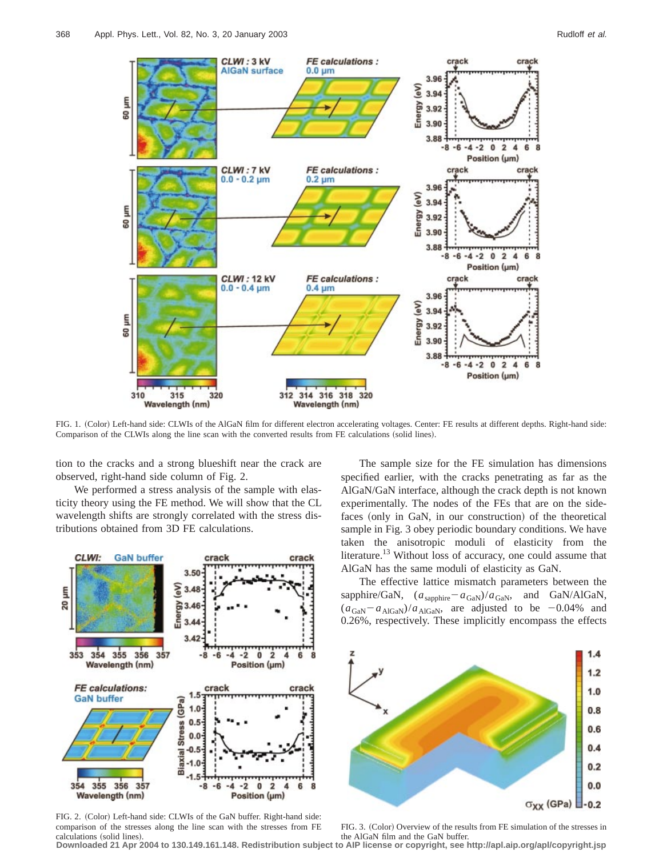

FIG. 1. (Color) Left-hand side: CLWIs of the AlGaN film for different electron accelerating voltages. Center: FE results at different depths. Right-hand side: Comparison of the CLWIs along the line scan with the converted results from FE calculations (solid lines).

tion to the cracks and a strong blueshift near the crack are observed, right-hand side column of Fig. 2.

We performed a stress analysis of the sample with elasticity theory using the FE method. We will show that the CL wavelength shifts are strongly correlated with the stress distributions obtained from 3D FE calculations.



FIG. 2. (Color) Left-hand side: CLWIs of the GaN buffer. Right-hand side: comparison of the stresses along the line scan with the stresses from FE calculations (solid lines).

The sample size for the FE simulation has dimensions specified earlier, with the cracks penetrating as far as the AlGaN/GaN interface, although the crack depth is not known experimentally. The nodes of the FEs that are on the sidefaces (only in GaN, in our construction) of the theoretical sample in Fig. 3 obey periodic boundary conditions. We have taken the anisotropic moduli of elasticity from the literature.<sup>13</sup> Without loss of accuracy, one could assume that AlGaN has the same moduli of elasticity as GaN.

The effective lattice mismatch parameters between the sapphire/GaN,  $(a_{\text{sapphire}} - a_{\text{GaN}})/a_{\text{GaN}}$ , and GaN/AlGaN,  $(a_{\text{GaN}}-a_{\text{AlGaN}})/a_{\text{AlGaN}}$ , are adjusted to be  $-0.04\%$  and 0.26%, respectively. These implicitly encompass the effects



FIG. 3. (Color) Overview of the results from FE simulation of the stresses in

the AlGaN film and the GaN buffer. **Downloaded 21 Apr 2004 to 130.149.161.148. Redistribution subject to AIP license or copyright, see http://apl.aip.org/apl/copyright.jsp**